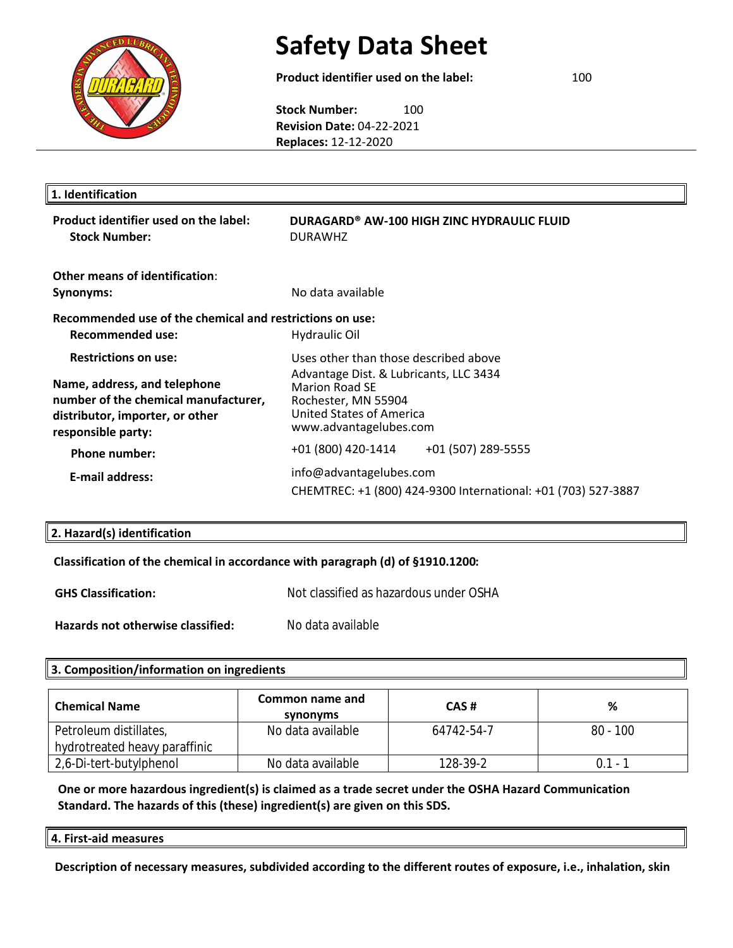

**Product identifier used on the label:** DURAGARD® AW-100 HIGH ZINC HYDRAULIC FLUID **Stock Number:** DURAW100HZ **Revision Date:** 04-22-2021 **Replaces:** 12-12-2020

| 1. Identification                                                                                                                                            |                                                                                                                                                                                       |  |
|--------------------------------------------------------------------------------------------------------------------------------------------------------------|---------------------------------------------------------------------------------------------------------------------------------------------------------------------------------------|--|
| Product identifier used on the label:<br><b>Stock Number:</b>                                                                                                | DURAGARD® AW-100 HIGH ZINC HYDRAULIC FLUID<br>DURAWC<br><b>H7</b>                                                                                                                     |  |
| Other means of identification:<br>Synonyms:                                                                                                                  | No data available                                                                                                                                                                     |  |
| Recommended use of the chemical and restrictions on use:<br>Recommended use:                                                                                 | <b>Hydraulic Oil</b>                                                                                                                                                                  |  |
| <b>Restrictions on use:</b><br>Name, address, and telephone<br>number of the chemical manufacturer,<br>distributor, importer, or other<br>responsible party: | Uses other than those described above<br>Advantage Dist. & Lubricants, LLC 3434<br><b>Marion Road SE</b><br>Rochester, MN 55904<br>United States of America<br>www.advantagelubes.com |  |
| <b>Phone number:</b><br><b>E-mail address:</b>                                                                                                               | +01 (800) 420-1414<br>+01 (507) 289-5555<br>info@advantagelubes.com<br>CHEMTREC: +1 (800) 424-9300 International: +01 (703) 527-3887                                                  |  |

# **2. Hazard(s) identification**

#### **Classification of the chemical in accordance with paragraph (d) of §1910.1200:**

| <b>GHS Classification:</b>        | Not classified as hazardous under OSHA |
|-----------------------------------|----------------------------------------|
| Hazards not otherwise classified: | No data available                      |

#### **3. Composition/information on ingredients**

| <b>Chemical Name</b>          | Common name and<br>synonyms | CAS#       | %          |
|-------------------------------|-----------------------------|------------|------------|
| Petroleum distillates,        | No data available           | 64742-54-7 | $80 - 100$ |
| hydrotreated heavy paraffinic |                             |            |            |
| 2,6-Di-tert-butylphenol       | No data available           | 128-39-2   | $0.1 - 7$  |

### **One or more hazardous ingredient(s) is claimed as a trade secret under the OSHA Hazard Communication Standard. The hazards of this (these) ingredient(s) are given on this SDS.**

| $\parallel$ 4. First-aid measures |
|-----------------------------------|
|                                   |

**Description of necessary measures, subdivided according to the different routes of exposure, i.e., inhalation, skin**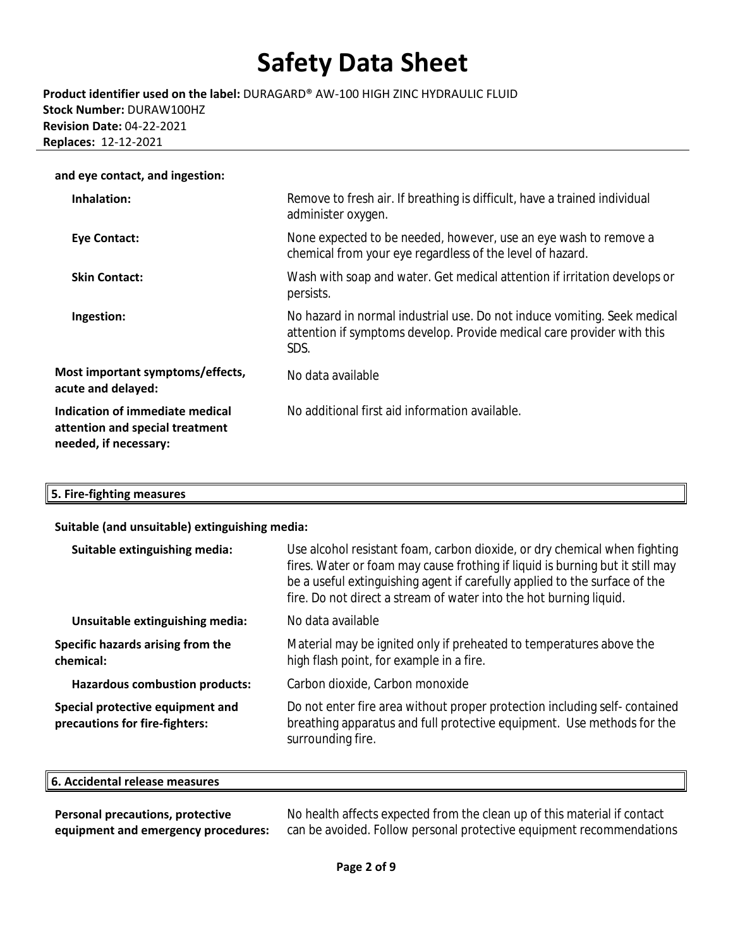**Product identifier used on the label:** DURAGARD® AW-100 HIGH ZINC HYDRAULIC FLUID **Stock Number:** DURAW100HZ **Revision Date:** 04-22-2021 **Replaces:** 12-12-2021

| and eye contact, and ingestion:                                                             |                                                                                                                                                            |
|---------------------------------------------------------------------------------------------|------------------------------------------------------------------------------------------------------------------------------------------------------------|
| Inhalation:                                                                                 | Remove to fresh air. If breathing is difficult, have a trained individual<br>administer oxygen.                                                            |
| Eye Contact:                                                                                | None expected to be needed, however, use an eye wash to remove a<br>chemical from your eye regardless of the level of hazard.                              |
| <b>Skin Contact:</b>                                                                        | Wash with soap and water. Get medical attention if irritation develops or<br>persists.                                                                     |
| Ingestion:                                                                                  | No hazard in normal industrial use. Do not induce vomiting. Seek medical<br>attention if symptoms develop. Provide medical care provider with this<br>SDS. |
| Most important symptoms/effects,<br>acute and delayed:                                      | No data available                                                                                                                                          |
| Indication of immediate medical<br>attention and special treatment<br>needed, if necessary: | No additional first aid information available.                                                                                                             |

### **5. Fire-fighting measures**

#### **Suitable (and unsuitable) extinguishing media:**

| Suitable extinguishing media:                                      | Use alcohol resistant foam, carbon dioxide, or dry chemical when fighting<br>fires. Water or foam may cause frothing if liquid is burning but it still may<br>be a useful extinguishing agent if carefully applied to the surface of the<br>fire. Do not direct a stream of water into the hot burning liquid. |
|--------------------------------------------------------------------|----------------------------------------------------------------------------------------------------------------------------------------------------------------------------------------------------------------------------------------------------------------------------------------------------------------|
| Unsuitable extinguishing media:                                    | No data available                                                                                                                                                                                                                                                                                              |
| Specific hazards arising from the<br>chemical:                     | Material may be ignited only if preheated to temperatures above the<br>high flash point, for example in a fire.                                                                                                                                                                                                |
| <b>Hazardous combustion products:</b>                              | Carbon dioxide, Carbon monoxide                                                                                                                                                                                                                                                                                |
| Special protective equipment and<br>precautions for fire-fighters: | Do not enter fire area without proper protection including self-contained<br>breathing apparatus and full protective equipment. Use methods for the<br>surrounding fire.                                                                                                                                       |

#### **6. Accidental release measures**

**Personal precautions, protective equipment and emergency procedures:**  No health affects expected from the clean up of this material if contact can be avoided. Follow personal protective equipment recommendations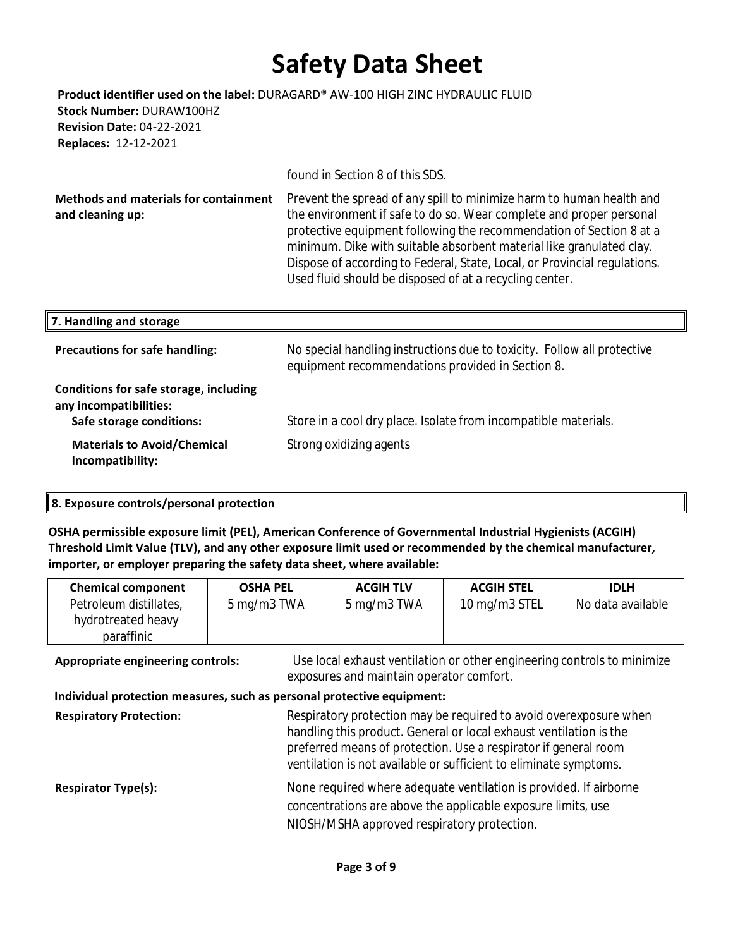**Product identifier used on the label:** DURAGARD® AW-100 HIGH ZINC HYDRAULIC FLUID **Stock Number:** DURAW100HZ **Revision Date:** 04-22-2021 **Replaces:** 12-12-2021

found in Section 8 of this SDS.

**Methods and materials for containment and cleaning up:**  Prevent the spread of any spill to minimize harm to human health and the environment if safe to do so. Wear complete and proper personal protective equipment following the recommendation of Section 8 at a minimum. Dike with suitable absorbent material like granulated clay. Dispose of according to Federal, State, Local, or Provincial regulations. Used fluid should be disposed of at a recycling center.

| 7. Handling and storage                                                                      |                                                                                                                             |
|----------------------------------------------------------------------------------------------|-----------------------------------------------------------------------------------------------------------------------------|
| <b>Precautions for safe handling:</b>                                                        | No special handling instructions due to toxicity. Follow all protective<br>equipment recommendations provided in Section 8. |
| Conditions for safe storage, including<br>any incompatibilities:<br>Safe storage conditions: | Store in a cool dry place. Isolate from incompatible materials.                                                             |
| <b>Materials to Avoid/Chemical</b><br>Incompatibility:                                       | Strong oxidizing agents                                                                                                     |

### **8. Exposure controls/personal protection**

**OSHA permissible exposure limit (PEL), American Conference of Governmental Industrial Hygienists (ACGIH) Threshold Limit Value (TLV), and any other exposure limit used or recommended by the chemical manufacturer, importer, or employer preparing the safety data sheet, where available:**

| Petroleum distillates,<br>10 mg/m3 STEL<br>5 mg/m3 TWA<br>5 mg/m3 TWA |                   |
|-----------------------------------------------------------------------|-------------------|
| hydrotreated heavy<br>paraffinic                                      | No data available |

**Appropriate engineering controls:** Use local exhaust ventilation or other engineering controls to minimize exposures and maintain operator comfort.  **Individual protection measures, such as personal protective equipment: Respiratory Protection:** Respiratory protection may be required to avoid overexposure when handling this product. General or local exhaust ventilation is the preferred means of protection. Use a respirator if general room ventilation is not available or sufficient to eliminate symptoms.

**Respirator Type(s):** None required where adequate ventilation is provided. If airborne concentrations are above the applicable exposure limits, use NIOSH/MSHA approved respiratory protection.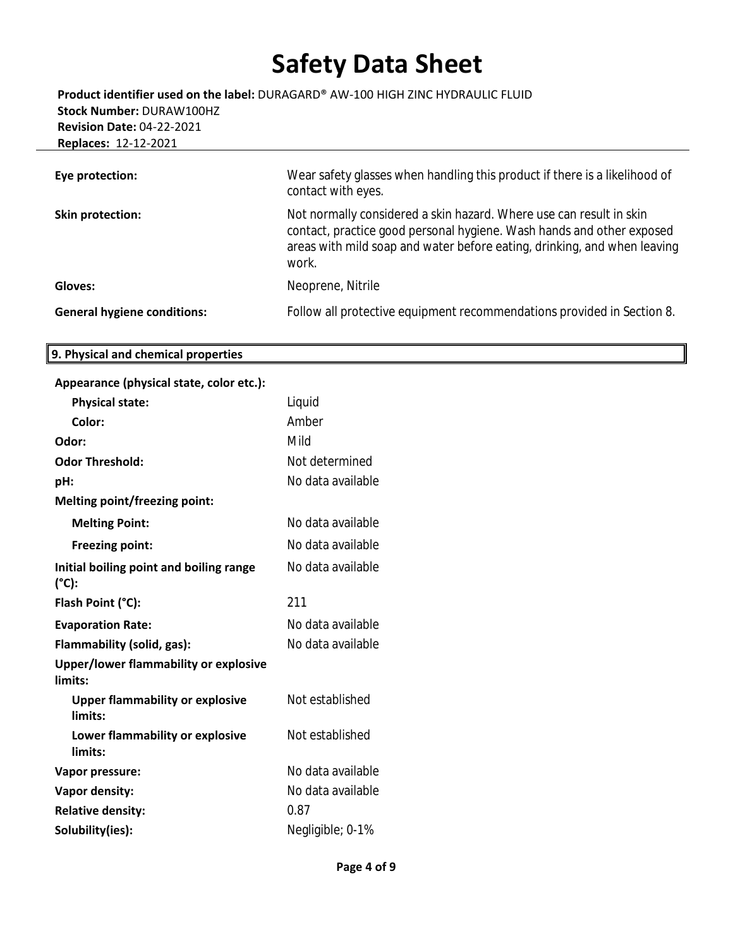**Eye protection:** Wear safety glasses when handling this product if there is a likelihood of contact with eyes. **Skin protection:** Not normally considered a skin hazard. Where use can result in skin contact, practice good personal hygiene. Wash hands and other exposed areas with mild soap and water before eating, drinking, and when leaving work. Gloves: **Gloves:** Neoprene, Nitrile **Product identifier used on the label:** DURAGARD® AW-100 HIGH ZINC HYDRAULIC FLUID **Stock Number:** DURAW100HZ **Revision Date:** 04-22-2021 **Replaces:** 12-12-2021

# **General hygiene conditions:** Follow all protective equipment recommendations provided in Section 8.

#### **9. Physical and chemical properties**

| Appearance (physical state, color etc.):          |                   |
|---------------------------------------------------|-------------------|
| <b>Physical state:</b>                            | Liquid            |
| Color:                                            | Amber             |
| Odor:                                             | Mild              |
| <b>Odor Threshold:</b>                            | Not determined    |
| pH:                                               | No data available |
| <b>Melting point/freezing point:</b>              |                   |
| <b>Melting Point:</b>                             | No data available |
| <b>Freezing point:</b>                            | No data available |
| Initial boiling point and boiling range<br>(°C):  | No data available |
| Flash Point (°C):                                 | 211               |
| <b>Evaporation Rate:</b>                          | No data available |
| Flammability (solid, gas):                        | No data available |
| Upper/lower flammability or explosive<br>limits:  |                   |
| <b>Upper flammability or explosive</b><br>limits: | Not established   |
| Lower flammability or explosive<br>limits:        | Not established   |
| Vapor pressure:                                   | No data available |
| Vapor density:                                    | No data available |
| <b>Relative density:</b>                          | 0.87              |
| Solubility(ies):                                  | Negligible; 0-1%  |

**Page 4 of 9**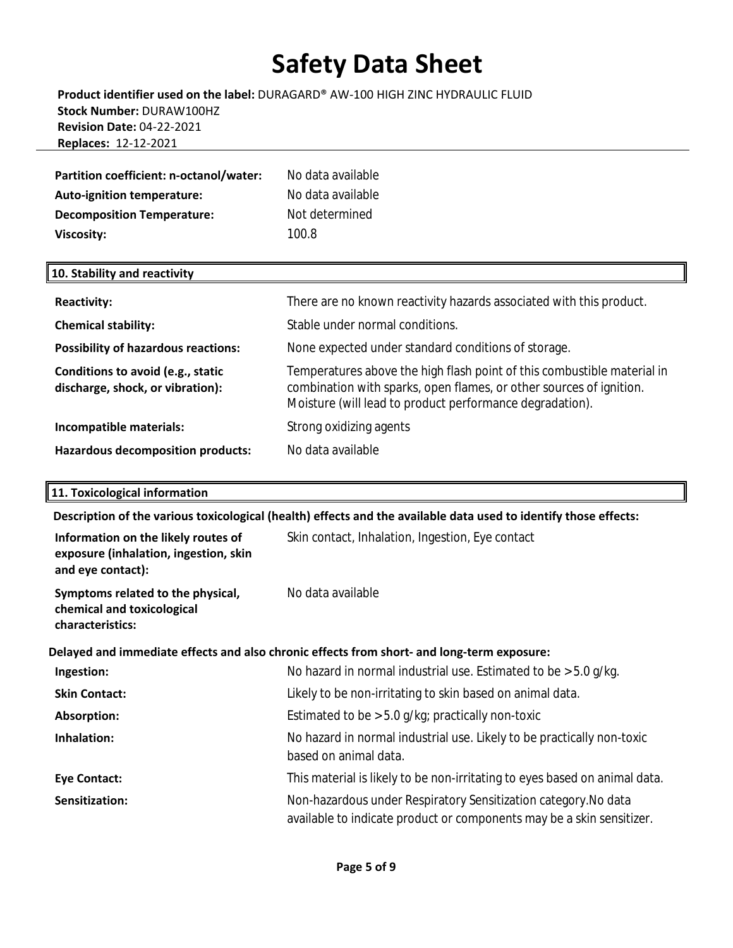# **Product identifier used on the label:** DURAGARD® AW-100 HIGH ZINC HYDRAULIC FLUID **Stock Number:** DURAW100HZ **Revision Date:** 04-22-2021 **Replaces:** 12-12-2021

| Partition coefficient: n-octanol/water:                                | No data available<br>No data available |
|------------------------------------------------------------------------|----------------------------------------|
| <b>Auto-ignition temperature:</b><br><b>Decomposition Temperature:</b> | Not determined                         |
| Viscosity:                                                             | 100.8                                  |
| 10. Stability and reactivity                                           |                                        |

| <b>Reactivity:</b>                                                    | There are no known reactivity hazards associated with this product.                                                                                                                                        |
|-----------------------------------------------------------------------|------------------------------------------------------------------------------------------------------------------------------------------------------------------------------------------------------------|
| <b>Chemical stability:</b>                                            | Stable under normal conditions.                                                                                                                                                                            |
| <b>Possibility of hazardous reactions:</b>                            | None expected under standard conditions of storage.                                                                                                                                                        |
| Conditions to avoid (e.g., static<br>discharge, shock, or vibration): | Temperatures above the high flash point of this combustible material in<br>combination with sparks, open flames, or other sources of ignition.<br>Moisture (will lead to product performance degradation). |
| Incompatible materials:                                               | Strong oxidizing agents                                                                                                                                                                                    |
| <b>Hazardous decomposition products:</b>                              | No data available                                                                                                                                                                                          |

### **11. Toxicological information**

**Description of the various toxicological (health) effects and the available data used to identify those effects:**

| Information on the likely routes of<br>exposure (inhalation, ingestion, skin<br>and eye contact): | Skin contact, Inhalation, Ingestion, Eye contact                                                                                         |
|---------------------------------------------------------------------------------------------------|------------------------------------------------------------------------------------------------------------------------------------------|
| Symptoms related to the physical,<br>chemical and toxicological<br>characteristics:               | No data available                                                                                                                        |
|                                                                                                   | Delayed and immediate effects and also chronic effects from short- and long-term exposure:                                               |
| Ingestion:                                                                                        | No hazard in normal industrial use. Estimated to be $>$ 5.0 g/kg.                                                                        |
| <b>Skin Contact:</b>                                                                              | Likely to be non-irritating to skin based on animal data.                                                                                |
| Absorption:                                                                                       | Estimated to be $> 5.0$ g/kg; practically non-toxic                                                                                      |
| Inhalation:                                                                                       | No hazard in normal industrial use. Likely to be practically non-toxic<br>based on animal data.                                          |
| <b>Eye Contact:</b>                                                                               | This material is likely to be non-irritating to eyes based on animal data.                                                               |
| Sensitization:                                                                                    | Non-hazardous under Respiratory Sensitization category. No data<br>available to indicate product or components may be a skin sensitizer. |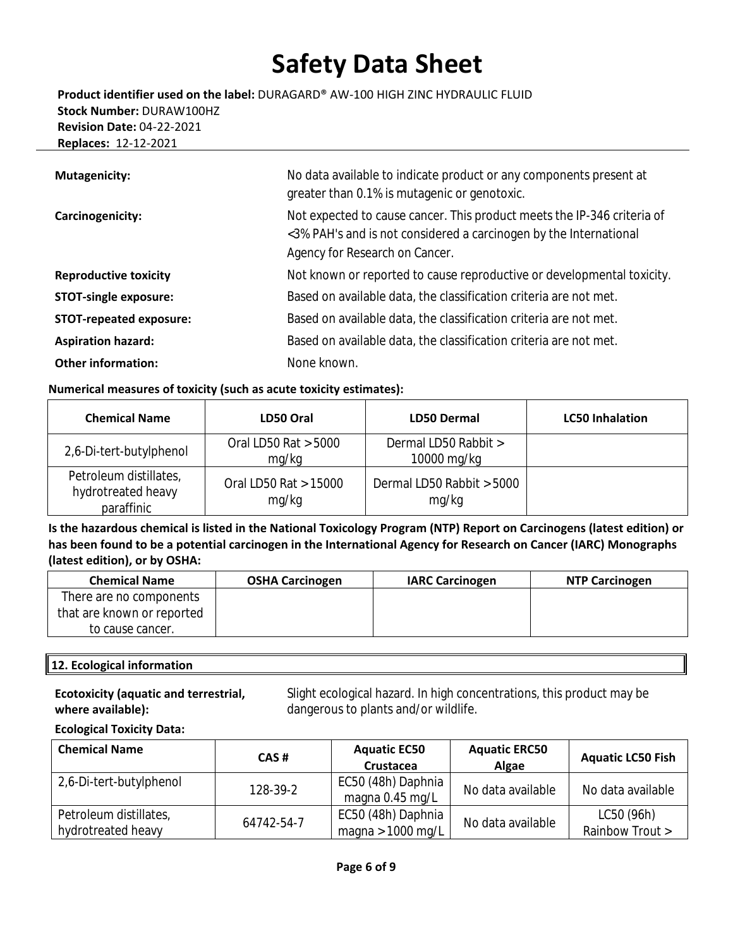**Product identifier used on the label:** DURAGARD® AW-100 HIGH ZINC HYDRAULIC FLUID **Stock Number:** DURAW100HZ **Revision Date:** 04-22-2021 **Replaces:** 12-12-2021

| <b>Mutagenicity:</b>           | No data available to indicate product or any components present at<br>greater than 0.1% is mutagenic or genotoxic.                                                             |
|--------------------------------|--------------------------------------------------------------------------------------------------------------------------------------------------------------------------------|
| Carcinogenicity:               | Not expected to cause cancer. This product meets the IP-346 criteria of<br><3% PAH's and is not considered a carcinogen by the International<br>Agency for Research on Cancer. |
| <b>Reproductive toxicity</b>   | Not known or reported to cause reproductive or developmental toxicity.                                                                                                         |
| <b>STOT-single exposure:</b>   | Based on available data, the classification criteria are not met.                                                                                                              |
| <b>STOT-repeated exposure:</b> | Based on available data, the classification criteria are not met.                                                                                                              |
| <b>Aspiration hazard:</b>      | Based on available data, the classification criteria are not met.                                                                                                              |
| <b>Other information:</b>      | None known.                                                                                                                                                                    |

# **Numerical measures of toxicity (such as acute toxicity estimates):**

| <b>Chemical Name</b>                                       | LD50 Oral                      | <b>LD50 Dermal</b>                  | <b>LC50 Inhalation</b> |
|------------------------------------------------------------|--------------------------------|-------------------------------------|------------------------|
| 2,6-Di-tert-butylphenol                                    | Oral LD50 Rat > 5000<br>mg/kg  | Dermal LD50 Rabbit ><br>10000 mg/kg |                        |
| Petroleum distillates,<br>hydrotreated heavy<br>paraffinic | Oral LD50 Rat > 15000<br>mg/kg | Dermal LD50 Rabbit > 5000<br>mg/kg  |                        |

**Is the hazardous chemical is listed in the National Toxicology Program (NTP) Report on Carcinogens (latest edition) or has been found to be a potential carcinogen in the International Agency for Research on Cancer (IARC) Monographs (latest edition), or by OSHA:**

| <b>Chemical Name</b>       | <b>OSHA Carcinogen</b> | <b>IARC Carcinogen</b> | <b>NTP Carcinogen</b> |
|----------------------------|------------------------|------------------------|-----------------------|
| There are no components    |                        |                        |                       |
| that are known or reported |                        |                        |                       |
| to cause cancer.           |                        |                        |                       |

# **12. Ecological information**

### **Ecotoxicity (aquatic and terrestrial, where available):**

Slight ecological hazard. In high concentrations, this product may be dangerous to plants and/or wildlife.

#### **Ecological Toxicity Data:**

| <b>Chemical Name</b>    | CAS#       | <b>Aquatic EC50</b><br>Crustacea      | <b>Aquatic ERC50</b><br>Algae | <b>Aquatic LC50 Fish</b> |
|-------------------------|------------|---------------------------------------|-------------------------------|--------------------------|
| 2,6-Di-tert-butylphenol | 128-39-2   | EC50 (48h) Daphnia<br>magna 0.45 mg/L | No data available             | No data available        |
| Petroleum distillates,  | 64742-54-7 | EC50 (48h) Daphnia                    | No data available             | LC50 (96h)               |
| hydrotreated heavy      |            | magna > 1000 mg/L                     |                               | Rainbow Trout >          |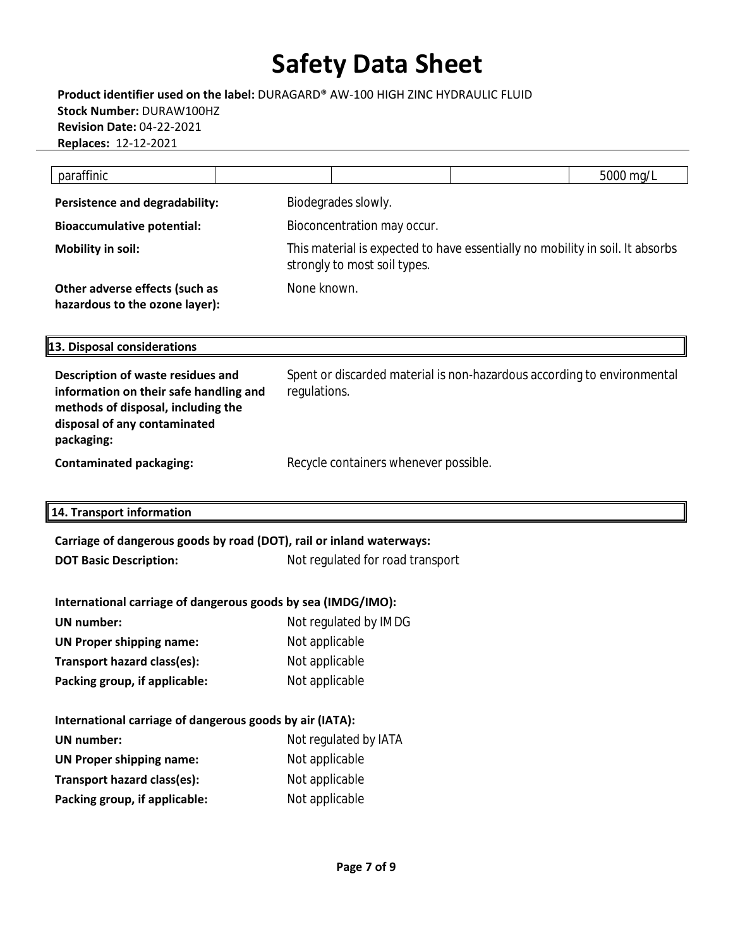**Product identifier used on the label:** DURAGARD® AW-100 HIGH ZINC HYDRAULIC FLUID **Stock Number:** DURAW100HZ **Revision Date:** 04-22-2021 **Replaces:** 12-12-2021

| paraffinic                                                                                                                                                      |                                                                                         |  | 5000 mg/L                                                                     |  |  |
|-----------------------------------------------------------------------------------------------------------------------------------------------------------------|-----------------------------------------------------------------------------------------|--|-------------------------------------------------------------------------------|--|--|
| <b>Persistence and degradability:</b>                                                                                                                           | Biodegrades slowly.                                                                     |  |                                                                               |  |  |
| <b>Bioaccumulative potential:</b>                                                                                                                               | Bioconcentration may occur.                                                             |  |                                                                               |  |  |
| <b>Mobility in soil:</b>                                                                                                                                        | strongly to most soil types.                                                            |  | This material is expected to have essentially no mobility in soil. It absorbs |  |  |
| Other adverse effects (such as<br>hazardous to the ozone layer):                                                                                                | None known.                                                                             |  |                                                                               |  |  |
| 13. Disposal considerations                                                                                                                                     |                                                                                         |  |                                                                               |  |  |
| Description of waste residues and<br>information on their safe handling and<br>methods of disposal, including the<br>disposal of any contaminated<br>packaging: | Spent or discarded material is non-hazardous according to environmental<br>regulations. |  |                                                                               |  |  |
| <b>Contaminated packaging:</b>                                                                                                                                  | Recycle containers whenever possible.                                                   |  |                                                                               |  |  |
| 14. Transport information                                                                                                                                       |                                                                                         |  |                                                                               |  |  |
| Carriage of dangerous goods by road (DOT), rail or inland waterways:                                                                                            |                                                                                         |  |                                                                               |  |  |
| <b>DOT Basic Description:</b>                                                                                                                                   | Not regulated for road transport                                                        |  |                                                                               |  |  |
| International carriage of dangerous goods by sea (IMDG/IMO):                                                                                                    |                                                                                         |  |                                                                               |  |  |
| <b>UN</b> number:                                                                                                                                               | Not regulated by IMDG                                                                   |  |                                                                               |  |  |
| <b>UN Proper shipping name:</b>                                                                                                                                 | Not applicable                                                                          |  |                                                                               |  |  |
| Transport hazard class(es):                                                                                                                                     | Not applicable                                                                          |  |                                                                               |  |  |
| Packing group, if applicable:                                                                                                                                   | Not applicable                                                                          |  |                                                                               |  |  |

| International carriage of dangerous goods by air (IATA): |                |  |  |
|----------------------------------------------------------|----------------|--|--|
| Not regulated by IATA<br><b>UN</b> number:               |                |  |  |
| <b>UN Proper shipping name:</b>                          | Not applicable |  |  |
| Transport hazard class(es):                              | Not applicable |  |  |
| Packing group, if applicable:                            | Not applicable |  |  |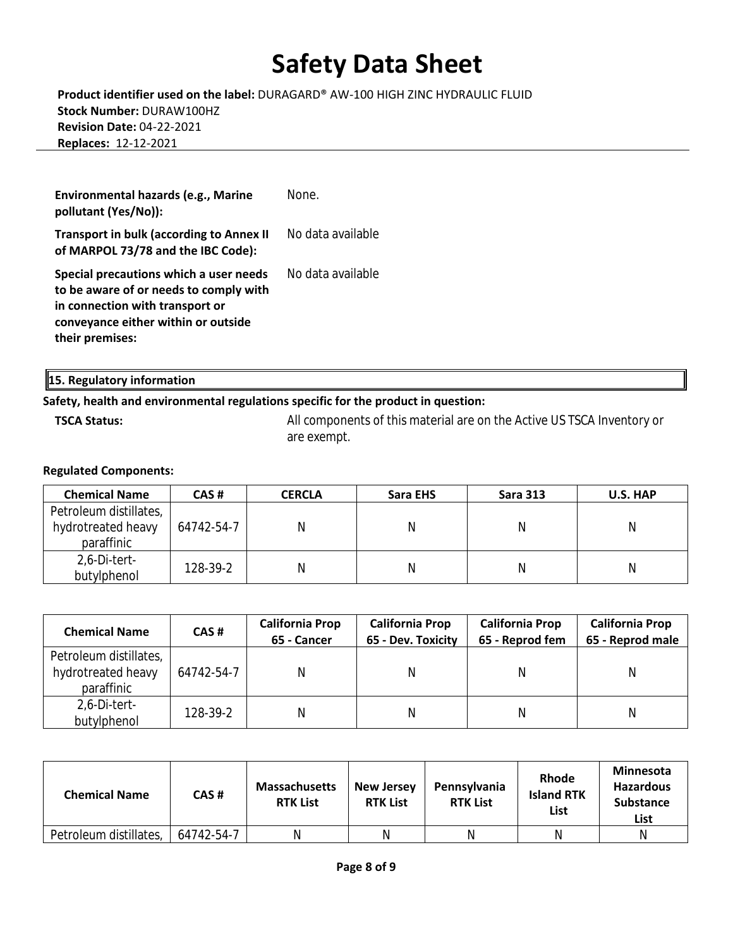**Product identifier used on the label:** DURAGARD® AW-100 HIGH ZINC HYDRAULIC FLUID **Stock Number:** DURAW100HZ **Revision Date:** 04-22-2021 **Replaces:** 12-12-2021

| Environmental hazards (e.g., Marine<br>pollutant (Yes/No)):                                                                                                                   | None              |
|-------------------------------------------------------------------------------------------------------------------------------------------------------------------------------|-------------------|
| <b>Transport in bulk (according to Annex II</b><br>of MARPOL 73/78 and the IBC Code):                                                                                         | No data available |
| Special precautions which a user needs<br>to be aware of or needs to comply with<br>in connection with transport or<br>conveyance either within or outside<br>their premises: | No data available |

**15. Regulatory information**

### **Safety, health and environmental regulations specific for the product in question:**

**TSCA Status:** All components of this material are on the Active US TSCA Inventory or are exempt.

#### **Regulated Components:**

| <b>Chemical Name</b>   | CAS#       | <b>CERCLA</b> | Sara EHS | <b>Sara 313</b> | U.S. HAP |
|------------------------|------------|---------------|----------|-----------------|----------|
| Petroleum distillates, |            |               |          |                 |          |
| hydrotreated heavy     | 64742-54-7 | N             |          | N               | N        |
| paraffinic             |            |               |          |                 |          |
| 2,6-Di-tert-           |            |               |          |                 |          |
| butylphenol            | 128-39-2   |               |          |                 | Ν        |

| <b>Chemical Name</b>                                       | CAS#       | <b>California Prop</b><br>65 - Cancer | <b>California Prop</b><br>65 - Dev. Toxicity | <b>California Prop</b><br>65 - Reprod fem | <b>California Prop</b><br>65 - Reprod male |
|------------------------------------------------------------|------------|---------------------------------------|----------------------------------------------|-------------------------------------------|--------------------------------------------|
| Petroleum distillates,<br>hydrotreated heavy<br>paraffinic | 64742-54-7 |                                       |                                              |                                           | N                                          |
| 2,6-Di-tert-<br>butylphenol                                | 128-39-2   | Ν                                     |                                              |                                           | Ν                                          |

| <b>Chemical Name</b>   | CAS#       | <b>Massachusetts</b><br><b>RTK List</b> | <b>New Jersey</b><br><b>RTK List</b> | <b>Pennsylvania</b><br><b>RTK List</b> | <b>Rhode</b><br><b>Island RTK</b><br>List | <b>Minnesota</b><br><b>Hazardous</b><br><b>Substance</b><br>List |
|------------------------|------------|-----------------------------------------|--------------------------------------|----------------------------------------|-------------------------------------------|------------------------------------------------------------------|
| Petroleum distillates, | 64742-54-7 |                                         | N                                    | N                                      | N                                         | N                                                                |